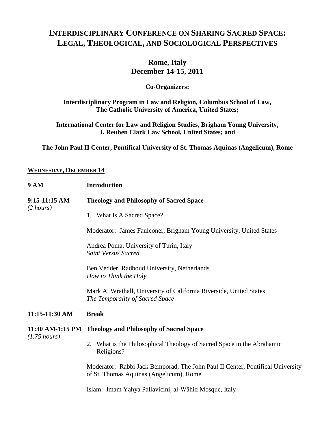# **INTERDISCIPLINARY CONFERENCE ON SHARING SACRED SPACE: LEGAL, THEOLOGICAL, AND SOCIOLOGICAL PERSPECTIVES**

### **Rome, Italy December 14-15, 2011**

#### **Co-Organizers:**

#### **Interdisciplinary Program in Law and Religion, Columbus School of Law, The Catholic University of America, United States;**

#### **International Center for Law and Religion Studies, Brigham Young University, J. Reuben Clark Law School, United States; and**

**The John Paul II Center, Pontifical University of St. Thomas Aquinas (Angelicum), Rome**

#### **WEDNESDAY, DECEMBER 14**

| <b>9 AM</b>                          | <b>Introduction</b>                                                                                                       |
|--------------------------------------|---------------------------------------------------------------------------------------------------------------------------|
| 9:15-11:15 AM<br>$(2 \text{ hours})$ | <b>Theology and Philosophy of Sacred Space</b>                                                                            |
|                                      | 1. What Is A Sacred Space?                                                                                                |
|                                      | Moderator: James Faulconer, Brigham Young University, United States                                                       |
|                                      | Andrea Poma, University of Turin, Italy<br><b>Saint Versus Sacred</b>                                                     |
|                                      | Ben Vedder, Radboud University, Netherlands<br>How to Think the Holy                                                      |
|                                      | Mark A. Wrathall, University of California Riverside, United States<br>The Temporality of Sacred Space                    |
| 11:15-11:30 AM                       | <b>Break</b>                                                                                                              |
| $(1.75 \; hours)$                    | 11:30 AM-1:15 PM Theology and Philosophy of Sacred Space                                                                  |
|                                      | 2. What is the Philosophical Theology of Sacred Space in the Abrahamic<br>Religions?                                      |
|                                      | Moderator: Rabbi Jack Bemporad, The John Paul II Center, Pontifical University<br>of St. Thomas Aquinas (Angelicum), Rome |
|                                      | Islam: Imam Yahya Pallavicini, al-Wāhid Mosque, Italy                                                                     |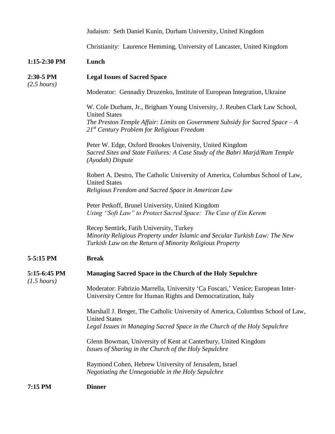|                                  | Judaism: Seth Daniel Kunin, Durham University, United Kingdom                                                                                                                                                                       |
|----------------------------------|-------------------------------------------------------------------------------------------------------------------------------------------------------------------------------------------------------------------------------------|
|                                  | Christianity: Laurence Hemming, University of Lancaster, United Kingdom                                                                                                                                                             |
| $1:15-2:30$ PM                   | Lunch                                                                                                                                                                                                                               |
| 2:30-5 PM<br>$(2.5 \; hours)$    | <b>Legal Issues of Sacred Space</b>                                                                                                                                                                                                 |
|                                  | Moderator: Gennadiy Druzenko, Institute of European Integration, Ukraine                                                                                                                                                            |
|                                  | W. Cole Durham, Jr., Brigham Young University, J. Reuben Clark Law School,<br><b>United States</b><br>The Preston Temple Affair: Limits on Government Subsidy for Sacred Space $-A$<br>$21st$ Century Problem for Religious Freedom |
|                                  | Peter W. Edge, Oxford Brookes University, United Kingdom<br>Sacred Sites and State Failures: A Case Study of the Babri Marjd/Ram Temple<br>(Ayodah) Dispute                                                                         |
|                                  | Robert A. Destro, The Catholic University of America, Columbus School of Law,<br><b>United States</b><br>Religious Freedom and Sacred Space in American Law                                                                         |
|                                  | Peter Petkoff, Brunel University, United Kingdom<br>Using "Soft Law" to Protect Sacred Space: The Case of Ein Kerem                                                                                                                 |
|                                  | Recep Sentürk, Fatih University, Turkey<br>Minority Religious Property under Islamic and Secular Turkish Law: The New<br>Turkish Law on the Return of Minority Religious Property                                                   |
| 5-5:15 PM                        | <b>Break</b>                                                                                                                                                                                                                        |
| 5:15-6:45 PM<br>$(1.5 \; hours)$ | Managing Sacred Space in the Church of the Holy Sepulchre                                                                                                                                                                           |
|                                  | Moderator: Fabrizio Marrella, University 'Ca Foscari,' Venice; European Inter-<br>University Centre for Human Rights and Democratization, Italy                                                                                     |
|                                  | Marshall J. Breger, The Catholic University of America, Columbus School of Law,<br><b>United States</b><br>Legal Issues in Managing Sacred Space in the Church of the Holy Sepulchre                                                |
|                                  | Glenn Bowman, University of Kent at Canterbury, United Kingdom<br>Issues of Sharing in the Church of the Holy Sepulchre                                                                                                             |
|                                  | Raymond Cohen, Hebrew University of Jerusalem, Israel<br>Negotiating the Unnegotiable in the Holy Sepulchre                                                                                                                         |
| 7:15 PM                          | <b>Dinner</b>                                                                                                                                                                                                                       |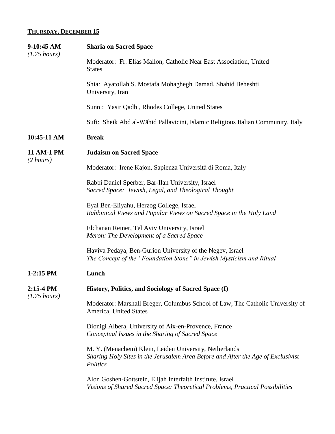## **THURSDAY, DECEMBER 15**

| 9-10:45 AM<br>$(1.75 \text{ hours})$     | <b>Sharia on Sacred Space</b>                                                                                                                          |
|------------------------------------------|--------------------------------------------------------------------------------------------------------------------------------------------------------|
|                                          | Moderator: Fr. Elias Mallon, Catholic Near East Association, United<br><b>States</b>                                                                   |
|                                          | Shia: Ayatollah S. Mostafa Mohaghegh Damad, Shahid Beheshti<br>University, Iran                                                                        |
|                                          | Sunni: Yasir Qadhi, Rhodes College, United States                                                                                                      |
|                                          | Sufi: Sheik Abd al-Wāhid Pallavicini, Islamic Religious Italian Community, Italy                                                                       |
| 10:45-11 AM                              | <b>Break</b>                                                                                                                                           |
| <b>11 AM-1 PM</b><br>$(2 \text{ hours})$ | <b>Judaism on Sacred Space</b>                                                                                                                         |
|                                          | Moderator: Irene Kajon, Sapienza Università di Roma, Italy                                                                                             |
|                                          | Rabbi Daniel Sperber, Bar-Ilan University, Israel<br>Sacred Space: Jewish, Legal, and Theological Thought                                              |
|                                          | Eyal Ben-Eliyahu, Herzog College, Israel<br>Rabbinical Views and Popular Views on Sacred Space in the Holy Land                                        |
|                                          | Elchanan Reiner, Tel Aviv University, Israel<br>Meron: The Development of a Sacred Space                                                               |
|                                          | Haviva Pedaya, Ben-Gurion University of the Negev, Israel<br>The Concept of the "Foundation Stone" in Jewish Mysticism and Ritual                      |
| 1-2:15 PM                                | Lunch                                                                                                                                                  |
| $2:15-4$ PM<br>$(1.75 \; hours)$         | History, Politics, and Sociology of Sacred Space (I)                                                                                                   |
|                                          | Moderator: Marshall Breger, Columbus School of Law, The Catholic University of<br>America, United States                                               |
|                                          | Dionigi Albera, University of Aix-en-Provence, France<br>Conceptual Issues in the Sharing of Sacred Space                                              |
|                                          | M. Y. (Menachem) Klein, Leiden University, Netherlands<br>Sharing Holy Sites in the Jerusalem Area Before and After the Age of Exclusivist<br>Politics |
|                                          | Alon Goshen-Gottstein, Elijah Interfaith Institute, Israel<br>Visions of Shared Sacred Space: Theoretical Problems, Practical Possibilities            |